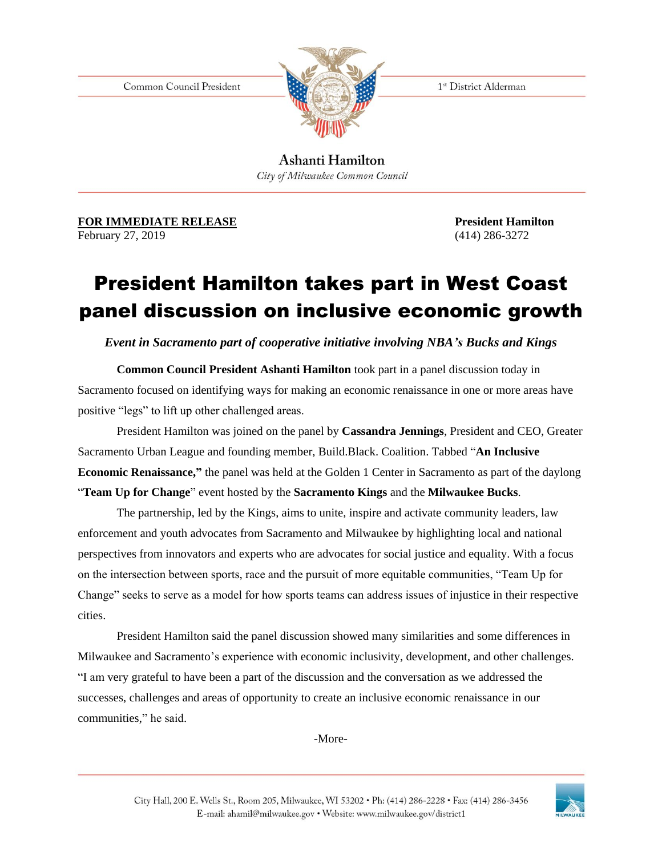Common Council President



1st District Alderman

Ashanti Hamilton City of Milwaukee Common Council

**FOR IMMEDIATE RELEASE** *President Hamilton* February 27, 2019 (414) 286-3272

## President Hamilton takes part in West Coast panel discussion on inclusive economic growth

*Event in Sacramento part of cooperative initiative involving NBA's Bucks and Kings*

**Common Council President Ashanti Hamilton** took part in a panel discussion today in Sacramento focused on identifying ways for making an economic renaissance in one or more areas have positive "legs" to lift up other challenged areas.

President Hamilton was joined on the panel by **Cassandra Jennings**, President and CEO, Greater Sacramento Urban League and founding member, Build.Black. Coalition. Tabbed "**An Inclusive Economic Renaissance,"** the panel was held at the Golden 1 Center in Sacramento as part of the daylong "**Team Up for Change**" event hosted by the **Sacramento Kings** and the **Milwaukee Bucks**.

The partnership, led by the Kings, aims to unite, inspire and activate community leaders, law enforcement and youth advocates from Sacramento and Milwaukee by highlighting local and national perspectives from innovators and experts who are advocates for social justice and equality. With a focus on the intersection between sports, race and the pursuit of more equitable communities, "Team Up for Change" seeks to serve as a model for how sports teams can address issues of injustice in their respective cities.

President Hamilton said the panel discussion showed many similarities and some differences in Milwaukee and Sacramento's experience with economic inclusivity, development, and other challenges. "I am very grateful to have been a part of the discussion and the conversation as we addressed the successes, challenges and areas of opportunity to create an inclusive economic renaissance in our communities," he said.

-More-